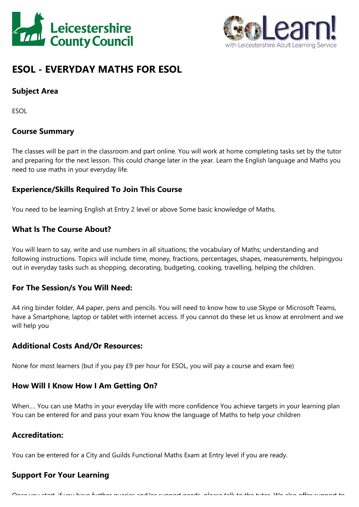



# **ESOL - EVERYDAY MATHS FOR ESOL**

# **Subject Area**

ESOL

# **Course Summary**

The classes will be part in the classroom and part online. You will work at home completing tasks set by the tutor and preparing for the next lesson. This could change later in the year. Learn the English language and Maths you need to use maths in your everyday life.

## **Experience/Skills Required To Join This Course**

You need to be learning English at Entry 2 level or above Some basic knowledge of Maths.

## **What Is The Course About?**

You will learn to say, write and use numbers in all situations; the vocabulary of Maths; understanding and following instructions. Topics will include time, money, fractions, percentages, shapes, measurements, helpingyou out in everyday tasks such as shopping, decorating, budgeting, cooking, travelling, helping the children.

#### **For The Session/s You Will Need:**

A4 ring binder folder, A4 paper, pens and pencils. You will need to know how to use Skype or Microsoft Teams, have <sup>a</sup> Smartphone, laptop or tablet with internet access. If you cannot do these let us know at enrolment and we will help you

#### **Additional Costs And/Or Resources:**

None for most learners (but if you pay £9 per hour for ESOL, you will pay <sup>a</sup> course and exam fee)

# **How Will I Know How I Am Getting On?**

When…. You can use Maths in your everyday life with more confidence You achieve targets in your learning plan You can be entered for and pass your exam You know the language of Maths to help your children

#### **Accreditation:**

You can be entered for <sup>a</sup> City and Guilds Functional Maths Exam at Entry level if you are ready.

# **Support For Your Learning**